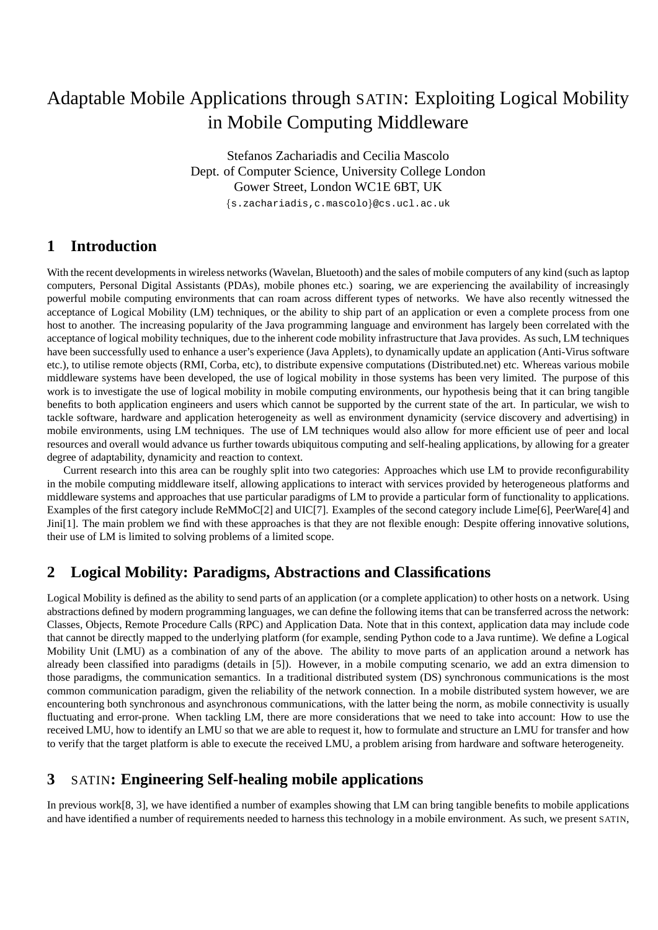# Adaptable Mobile Applications through SATIN: Exploiting Logical Mobility in Mobile Computing Middleware

Stefanos Zachariadis and Cecilia Mascolo Dept. of Computer Science, University College London Gower Street, London WC1E 6BT, UK

{s.zachariadis,c.mascolo}@cs.ucl.ac.uk

## **1 Introduction**

With the recent developments in wireless networks (Wavelan, Bluetooth) and the sales of mobile computers of any kind (such as laptop computers, Personal Digital Assistants (PDAs), mobile phones etc.) soaring, we are experiencing the availability of increasingly powerful mobile computing environments that can roam across different types of networks. We have also recently witnessed the acceptance of Logical Mobility (LM) techniques, or the ability to ship part of an application or even a complete process from one host to another. The increasing popularity of the Java programming language and environment has largely been correlated with the acceptance of logical mobility techniques, due to the inherent code mobility infrastructure that Java provides. As such, LM techniques have been successfully used to enhance a user's experience (Java Applets), to dynamically update an application (Anti-Virus software etc.), to utilise remote objects (RMI, Corba, etc), to distribute expensive computations (Distributed.net) etc. Whereas various mobile middleware systems have been developed, the use of logical mobility in those systems has been very limited. The purpose of this work is to investigate the use of logical mobility in mobile computing environments, our hypothesis being that it can bring tangible benefits to both application engineers and users which cannot be supported by the current state of the art. In particular, we wish to tackle software, hardware and application heterogeneity as well as environment dynamicity (service discovery and advertising) in mobile environments, using LM techniques. The use of LM techniques would also allow for more efficient use of peer and local resources and overall would advance us further towards ubiquitous computing and self-healing applications, by allowing for a greater degree of adaptability, dynamicity and reaction to context.

Current research into this area can be roughly split into two categories: Approaches which use LM to provide reconfigurability in the mobile computing middleware itself, allowing applications to interact with services provided by heterogeneous platforms and middleware systems and approaches that use particular paradigms of LM to provide a particular form of functionality to applications. Examples of the first category include ReMMoC[2] and UIC[7]. Examples of the second category include Lime[6], PeerWare[4] and Jini[1]. The main problem we find with these approaches is that they are not flexible enough: Despite offering innovative solutions, their use of LM is limited to solving problems of a limited scope.

## **2 Logical Mobility: Paradigms, Abstractions and Classifications**

Logical Mobility is defined as the ability to send parts of an application (or a complete application) to other hosts on a network. Using abstractions defined by modern programming languages, we can define the following items that can be transferred across the network: Classes, Objects, Remote Procedure Calls (RPC) and Application Data. Note that in this context, application data may include code that cannot be directly mapped to the underlying platform (for example, sending Python code to a Java runtime). We define a Logical Mobility Unit (LMU) as a combination of any of the above. The ability to move parts of an application around a network has already been classified into paradigms (details in [5]). However, in a mobile computing scenario, we add an extra dimension to those paradigms, the communication semantics. In a traditional distributed system (DS) synchronous communications is the most common communication paradigm, given the reliability of the network connection. In a mobile distributed system however, we are encountering both synchronous and asynchronous communications, with the latter being the norm, as mobile connectivity is usually fluctuating and error-prone. When tackling LM, there are more considerations that we need to take into account: How to use the received LMU, how to identify an LMU so that we are able to request it, how to formulate and structure an LMU for transfer and how to verify that the target platform is able to execute the received LMU, a problem arising from hardware and software heterogeneity.

## **3** SATIN**: Engineering Self-healing mobile applications**

In previous work[8, 3], we have identified a number of examples showing that LM can bring tangible benefits to mobile applications and have identified a number of requirements needed to harness this technology in a mobile environment. As such, we present SATIN,